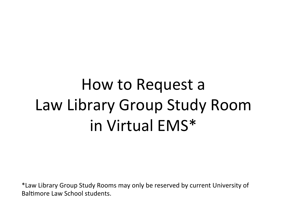# How to Request a Law Library Group Study Room in Virtual EMS\*

\*Law Library Group Study Rooms may only be reserved by current University of Baltimore Law School students.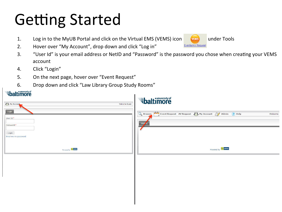## **Getting Started**

- 1. Log in to the MyUB Portal and click on the Virtual EMS (VEMS) icon **VEMS** under Tools
- 2. Hover over "My Account", drop down and click "Log in"
- 3. "User Id" is your email address or NetID and "Password" is the password you chose when creating your VEMS account
- 4. Click "Login"

 $\bullet$  university of

- 5. On the next page, hover over "Event Request"
- 6. Drop down and click "Law Library Group Study Rooms"

| <i><b>baltimore</b></i>                                           |                                                                                                |
|-------------------------------------------------------------------|------------------------------------------------------------------------------------------------|
| My Account<br><b>Welcome Guest</b>                                | <i><b>Abaltimore</b></i>                                                                       |
| Login<br>User Id:*<br>Password:*<br>Login<br>Email me my password | Event Request AV Request & My Account 2 Admin ( Help<br><b>Q</b> Browse<br>Welcome<br>Hor<br>e |
| Powered by <b>the ems</b>                                         | Powered by <b>Comment</b>                                                                      |
|                                                                   |                                                                                                |

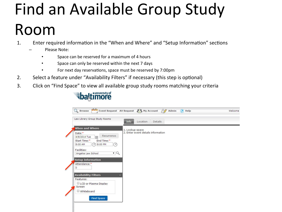# Find an Available Group Study Room

1. Enter required information in the "When and Where" and "Setup Information" sections

- Please Note:
	- Space can be reserved for a maximum of 4 hours
	- Space can only be reserved within the next 7 days
	- For next day reservations, space must be reserved by 7:00pm
- 2. Select a feature under "Availability Filters" if necessary (this step is optional)
- 3. Click on "Find Space" to view all available group study rooms matching your criteria



| Law Library Group Study Rooms                           | <b>Info</b><br>Location<br><b>Details</b> |  |
|---------------------------------------------------------|-------------------------------------------|--|
| <b>When and Where</b>                                   | 1. Lookup space                           |  |
| Date:*                                                  | 2. Enter event details information        |  |
| Recurrence<br>膃<br>4/8/2014 Tue                         |                                           |  |
| End Time:*<br>Start Time:*<br>8:00 PM<br>8:00 AM<br>(V) |                                           |  |
|                                                         |                                           |  |
| Facilities:<br>$\mathbf{v}$ Q<br>Angelos Law School     |                                           |  |
|                                                         |                                           |  |
| <b>Setup Information</b>                                |                                           |  |
| Attendance:*                                            |                                           |  |
|                                                         |                                           |  |
| <b>Availability Filters</b>                             |                                           |  |
| Features:                                               |                                           |  |
| LCD or Plasma Display                                   |                                           |  |
| Screen                                                  |                                           |  |
| Whiteboard                                              |                                           |  |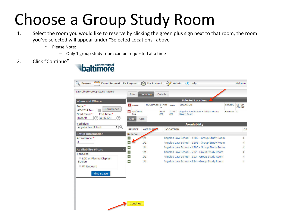## Choose a Group Study Room

- 1. Select the room you would like to reserve by clicking the green plus sign next to that room, the room you've selected will appear under "Selected Locations" above
	- Please Note:
		- $-$  Only 1 group study room can be requested at a time
- 2. Click "Continue"



|                                                                   | Info           | Location              | Details   |                 |                                              |               |                              |
|-------------------------------------------------------------------|----------------|-----------------------|-----------|-----------------|----------------------------------------------|---------------|------------------------------|
| <b>When and Where</b>                                             |                |                       |           |                 | <b>Selected Locations</b>                    |               |                              |
| Date:*                                                            | <b>ES</b> DATE | <b>HOLIDAYS START</b> |           | <b>END</b>      | <b>LOCATION</b>                              | <b>STATUS</b> | <b>SETUP</b><br><b>COUNT</b> |
| Recurrence<br>4/8/2014 Tue<br>H                                   | 4/8/2014       |                       | 8:00      | 10:00           | Angelos Law School - 1028 - Group            | Reserve 3     |                              |
| Start Time:*<br>End Time:*                                        | Tue            |                       | <b>AM</b> | AM              | Study Room                                   |               |                              |
| 10:00 AM<br>8:00 AM<br>V                                          | List           | Grid                  |           |                 |                                              |               |                              |
| Facilities:                                                       |                |                       |           |                 | <b>Availability</b>                          |               |                              |
| $\mathbf{v}$ <sup><math>\alpha</math></sup><br>Angelos Law School | <b>SELECT</b>  | <b>AVAILAPLE</b>      |           | <b>LOCATION</b> |                                              |               | CA                           |
| <b>Setup Information</b>                                          | Reserve        |                       |           |                 |                                              |               |                              |
| Attendance:*                                                      | ÷              | 1/1                   |           |                 | Angelos Law School - 1202 - Group Study Room |               | 4                            |
| 3                                                                 | $\ddot{}$      | 1/1                   |           |                 | Angelos Law School - 1203 - Group Study Room |               | 4                            |
| <b>Availability Filters</b>                                       | ÷<br>×         | 1/1                   |           |                 | Angelos Law School - 1205 - Group Study Room |               | 4                            |
| Features:                                                         | $\ddot{}$      | 1/1                   |           |                 | Angelos Law School - 732 - Group Study Room  |               | $\overline{4}$               |
| LCD or Plasma Display                                             | $\ddot{}$      | 1/1                   |           |                 | Angelos Law School - 823 - Group Study Room  |               | 4                            |
| Screen                                                            | ÷              | 1/1                   |           |                 | Angelos Law School - 824 - Group Study Room  |               | 4                            |
| Whiteboard                                                        |                |                       |           |                 |                                              |               |                              |
|                                                                   |                |                       |           |                 |                                              |               |                              |
| <b>Find Space</b>                                                 |                |                       |           |                 |                                              |               |                              |
|                                                                   |                |                       |           |                 |                                              |               |                              |
|                                                                   |                |                       |           |                 |                                              |               |                              |
|                                                                   |                |                       |           |                 |                                              |               |                              |
|                                                                   |                |                       |           |                 |                                              |               |                              |